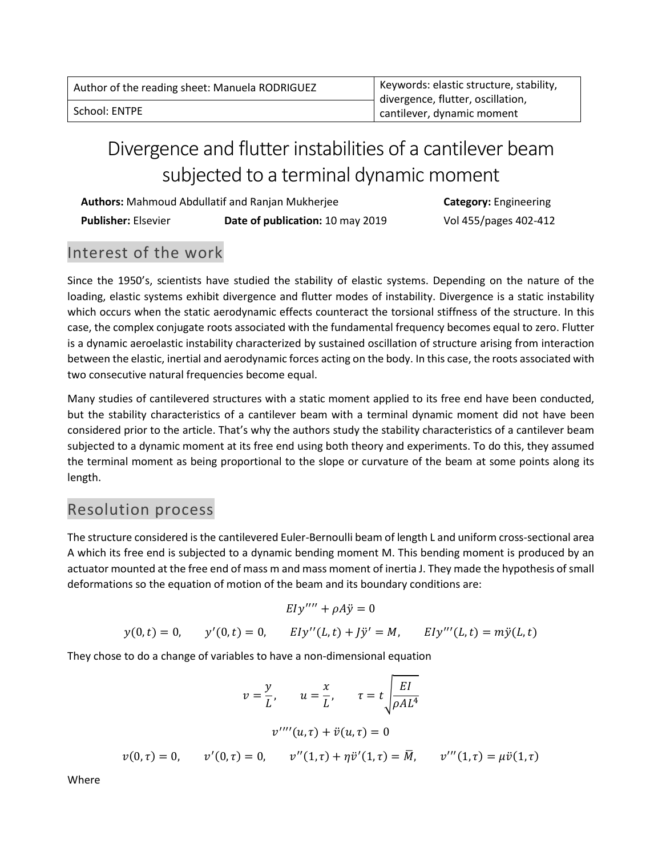| Author of the reading sheet: Manuela RODRIGUEZ | Keywords: elastic structure, stability, |  |
|------------------------------------------------|-----------------------------------------|--|
|                                                | divergence, flutter, oscillation,       |  |
| School: ENTPE                                  | cantilever, dynamic moment              |  |

# Divergence and flutter instabilities of a cantilever beam subjected to a terminal dynamic moment

| <b>Authors:</b> Mahmoud Abdullatif and Ranjan Mukherjee |                                  |
|---------------------------------------------------------|----------------------------------|
| <b>Publisher: Elsevier</b>                              | Date of publication: 10 may 2019 |

**Category:** Engineering  **Publisher:** Elsevier **Date of publication:** 10 may 2019 Vol 455/pages 402-412

## Interest of the work

Since the 1950's, scientists have studied the stability of elastic systems. Depending on the nature of the loading, elastic systems exhibit divergence and flutter modes of instability. Divergence is a static instability which occurs when the static aerodynamic effects counteract the torsional stiffness of the structure. In this case, the complex conjugate roots associated with the fundamental frequency becomes equal to zero. Flutter is a dynamic aeroelastic instability characterized by sustained oscillation of structure arising from interaction between the elastic, inertial and aerodynamic forces acting on the body. In this case, the roots associated with two consecutive natural frequencies become equal.

Many studies of cantilevered structures with a static moment applied to its free end have been conducted, but the stability characteristics of a cantilever beam with a terminal dynamic moment did not have been considered prior to the article. That's why the authors study the stability characteristics of a cantilever beam subjected to a dynamic moment at its free end using both theory and experiments. To do this, they assumed the terminal moment as being proportional to the slope or curvature of the beam at some points along its length.

### Resolution process

The structure considered is the cantilevered Euler-Bernoulli beam of length L and uniform cross-sectional area A which its free end is subjected to a dynamic bending moment M. This bending moment is produced by an actuator mounted at the free end of mass m and mass moment of inertia J. They made the hypothesis of small deformations so the equation of motion of the beam and its boundary conditions are:

$$
Ely''' + \rho A\ddot{y} = 0
$$
  

$$
y(0,t) = 0, \qquad y'(0,t) = 0, \qquad Ely''(L,t) + J\ddot{y}' = M, \qquad Ely'''(L,t) = m\ddot{y}(L,t)
$$

They chose to do a change of variables to have a non-dimensional equation

$$
v = \frac{y}{L}, \qquad u = \frac{x}{L}, \qquad \tau = t \sqrt{\frac{EI}{\rho A L^4}}
$$

$$
v'''(u, \tau) + \ddot{v}(u, \tau) = 0
$$

$$
v(0, \tau) = 0, \qquad v'(0, \tau) = 0, \qquad v''(1, \tau) + \eta \ddot{v}'(1, \tau) = \bar{M}, \qquad v'''(1, \tau) = \mu \ddot{v}(1, \tau)
$$

Where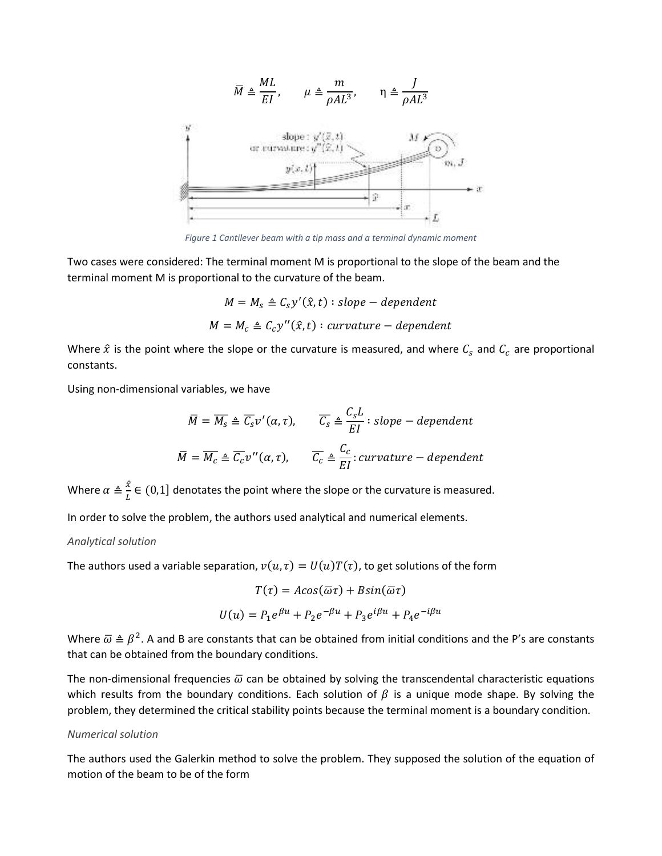

*Figure 1 Cantilever beam with a tip mass and a terminal dynamic moment*

Two cases were considered: The terminal moment M is proportional to the slope of the beam and the terminal moment M is proportional to the curvature of the beam.

$$
M = M_s \triangleq C_s y'(\hat{x}, t) : slope-dependent
$$

$$
M = M_c \triangleq C_c y''(\hat{x}, t) : curvature-dependent
$$

Where  $\hat{x}$  is the point where the slope or the curvature is measured, and where  $\mathcal{C}_s$  and  $\mathcal{C}_c$  are proportional constants.

Using non-dimensional variables, we have

$$
\overline{M} = \overline{M_s} \triangleq \overline{C_s} v'(\alpha, \tau), \qquad \overline{C_s} \triangleq \frac{C_s L}{EI} : slope - dependent
$$

$$
\overline{M} = \overline{M_c} \triangleq \overline{C_c} v''(\alpha, \tau), \qquad \overline{C_c} \triangleq \frac{C_c}{EI} : curvature - dependent
$$

Where  $\alpha \triangleq \frac{x}{L} \in (0,1]$  denotates the point where the slope or the curvature is measured.

In order to solve the problem, the authors used analytical and numerical elements.

#### *Analytical solution*

The authors used a variable separation,  $v(u, \tau) = U(u)T(\tau)$ , to get solutions of the form

$$
T(\tau) = A\cos(\overline{\omega}\tau) + B\sin(\overline{\omega}\tau)
$$

$$
U(u) = P_1 e^{\beta u} + P_2 e^{-\beta u} + P_3 e^{i\beta u} + P_4 e^{-i\beta u}
$$

Where  $\bar{\omega} \triangleq \beta^2$ . A and B are constants that can be obtained from initial conditions and the P's are constants that can be obtained from the boundary conditions.

The non-dimensional frequencies  $\bar{\omega}$  can be obtained by solving the transcendental characteristic equations which results from the boundary conditions. Each solution of  $\beta$  is a unique mode shape. By solving the problem, they determined the critical stability points because the terminal moment is a boundary condition.

#### *Numerical solution*

The authors used the Galerkin method to solve the problem. They supposed the solution of the equation of motion of the beam to be of the form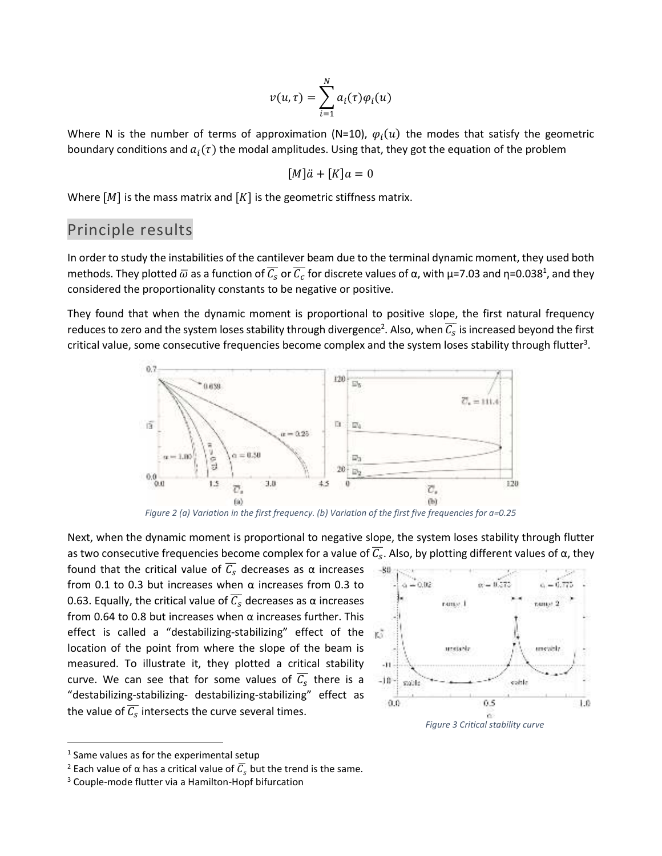$$
v(u,\tau) = \sum_{i=1}^{N} a_i(\tau) \varphi_i(u)
$$

Where N is the number of terms of approximation (N=10),  $\varphi_i(u)$  the modes that satisfy the geometric boundary conditions and  $a_i(\tau)$  the modal amplitudes. Using that, they got the equation of the problem

$$
[M]\ddot{a} + [K]a = 0
$$

Where  $[M]$  is the mass matrix and  $[K]$  is the geometric stiffness matrix.

### Principle results

In order to study the instabilities of the cantilever beam due to the terminal dynamic moment, they used both methods. They plotted  $\bar{\omega}$  as a function of  $\overline{\mathcal{C}_\mathcal{S}}$  or  $\overline{\mathcal{C}_\mathcal{C}}$  for discrete values of α, with μ=7.03 and η=0.038<sup>1</sup>, and they considered the proportionality constants to be negative or positive.

They found that when the dynamic moment is proportional to positive slope, the first natural frequency reduces to zero and the system loses stability through divergence<sup>2</sup>. Also, when  $\overline{\mathcal{C}_S}$  is increased beyond the first critical value, some consecutive frequencies become complex and the system loses stability through flutter<sup>3</sup>.



*Figure 2 (a) Variation in the first frequency. (b) Variation of the first five frequencies for a=0.25* 

Next, when the dynamic moment is proportional to negative slope, the system loses stability through flutter as two consecutive frequencies become complex for a value of  $\overline{C_S}$ . Also, by plotting different values of  $\alpha$ , they

found that the critical value of  $\overline{\mathcal{C}_s}$  decreases as  $\alpha$  increases from 0.1 to 0.3 but increases when  $\alpha$  increases from 0.3 to 0.63. Equally, the critical value of  $\overline{\mathcal{C}_\mathcal{S}}$  decreases as  $\alpha$  increases from 0.64 to 0.8 but increases when  $\alpha$  increases further. This effect is called a "destabilizing-stabilizing" effect of the location of the point from where the slope of the beam is measured. To illustrate it, they plotted a critical stability curve. We can see that for some values of  $\overline{\mathcal{C}_\mathcal{S}}$  there is a "destabilizing-stabilizing- destabilizing-stabilizing" effect as the value of  $\overline{\mathcal{C}_\mathcal{S}}$  intersects the curve several times.



 $<sup>1</sup>$  Same values as for the experimental setup</sup>

<sup>&</sup>lt;sup>2</sup> Each value of α has a critical value of  $\overline{\mathcal{C}}_s$  but the trend is the same.

<sup>&</sup>lt;sup>3</sup> Couple-mode flutter via a Hamilton-Hopf bifurcation